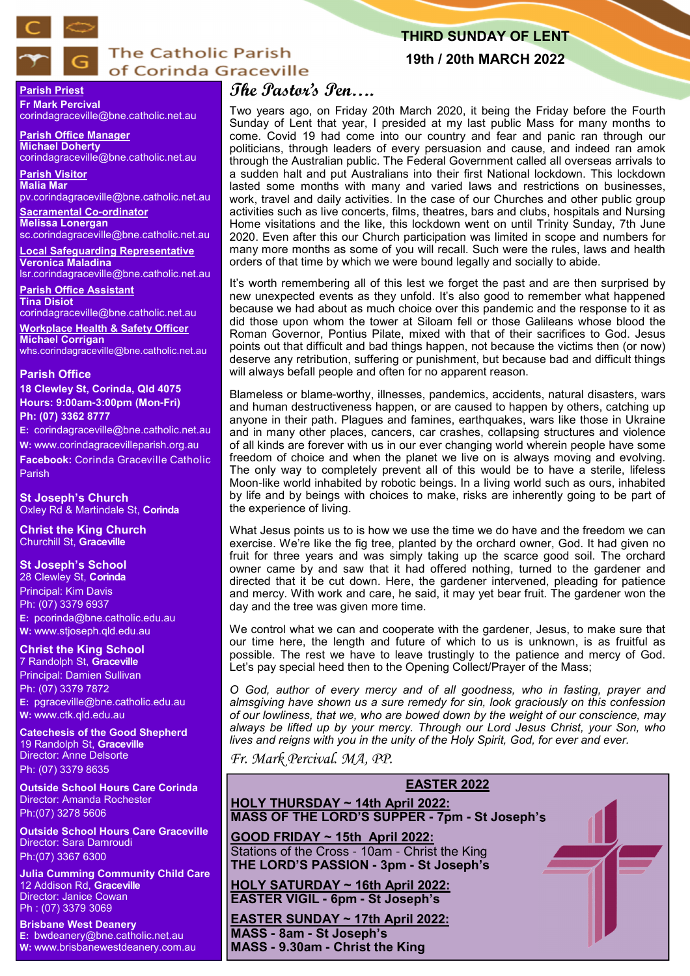

# **The Catholic Parish** of Corinda Graceville

# **THIRD SUNDAY OF LENT**

**19th / 20th MARCH 2022**

#### **Parish Priest Fr Mark Percival** corindagraceville@bne.catholic.net.au

**Parish Office Manager Michael Doherty** corindagraceville@bne.catholic.net.au

**Parish Visitor Malia Mar**  pv.corindagraceville@bne.catholic.net.au

**Sacramental Co-ordinator Melissa Lonergan**  sc.corindagraceville@bne.catholic.net.au

**Local Safeguarding Representative Veronica Maladina** lsr.corindagraceville@bne.catholic.net.au

**Parish Office Assistant Tina Disiot** 

corindagraceville@bne.catholic.net.au

**Workplace Health & Safety Officer Michael Corrigan** whs.corindagraceville@bne.catholic.net.au

#### **Parish Office**

**18 Clewley St, Corinda, Qld 4075 Hours: 9:00am-3:00pm (Mon-Fri) Ph: (07) 3362 8777**

**E:** corindagraceville@bne.catholic.net.au

**W:** www.corindagracevilleparish.org.au **Facebook:** Corinda Graceville Catholic Parish

**St Joseph's Church** Oxley Rd & Martindale St, **Corinda**

**Christ the King Church** Churchill St, **Graceville**

## **St Joseph's School**

28 Clewley St, **Corinda** Principal: Kim Davis Ph: (07) 3379 6937 **E:** pcorinda@bne.catholic.edu.au **W:** www.stjoseph.qld.edu.au

**Christ the King School**  7 Randolph St, **Graceville** Principal: Damien Sullivan Ph: (07) 3379 7872

**E:** pgraceville@bne.catholic.edu.au **W:** www.ctk.qld.edu.au

**Catechesis of the Good Shepherd**  19 Randolph St, **Graceville**  Director: Anne Delsorte Ph: (07) 3379 8635

**Outside School Hours Care Corinda**  Director: Amanda Rochester Ph:(07) 3278 5606

**Outside School Hours Care Graceville**  Director: Sara Damroudi Ph:(07) 3367 6300

**Julia Cumming Community Child Care**  12 Addison Rd, **Graceville**  Director: Janice Cowan Ph : (07) 3379 3069

**Brisbane West Deanery E:** bwdeanery@bne.catholic.net.au **W:** www.brisbanewestdeanery.com.au

# **The Pastor's Pen….**

Two years ago, on Friday 20th March 2020, it being the Friday before the Fourth Sunday of Lent that year, I presided at my last public Mass for many months to come. Covid 19 had come into our country and fear and panic ran through our politicians, through leaders of every persuasion and cause, and indeed ran amok through the Australian public. The Federal Government called all overseas arrivals to a sudden halt and put Australians into their first National lockdown. This lockdown lasted some months with many and varied laws and restrictions on businesses, work, travel and daily activities. In the case of our Churches and other public group activities such as live concerts, films, theatres, bars and clubs, hospitals and Nursing Home visitations and the like, this lockdown went on until Trinity Sunday, 7th June 2020. Even after this our Church participation was limited in scope and numbers for many more months as some of you will recall. Such were the rules, laws and health orders of that time by which we were bound legally and socially to abide.

It's worth remembering all of this lest we forget the past and are then surprised by new unexpected events as they unfold. It's also good to remember what happened because we had about as much choice over this pandemic and the response to it as did those upon whom the tower at Siloam fell or those Galileans whose blood the Roman Governor, Pontius Pilate, mixed with that of their sacrifices to God. Jesus points out that difficult and bad things happen, not because the victims then (or now) deserve any retribution, suffering or punishment, but because bad and difficult things will always befall people and often for no apparent reason.

Blameless or blame-worthy, illnesses, pandemics, accidents, natural disasters, wars and human destructiveness happen, or are caused to happen by others, catching up anyone in their path. Plagues and famines, earthquakes, wars like those in Ukraine and in many other places, cancers, car crashes, collapsing structures and violence of all kinds are forever with us in our ever changing world wherein people have some freedom of choice and when the planet we live on is always moving and evolving. The only way to completely prevent all of this would be to have a sterile, lifeless Moon-like world inhabited by robotic beings. In a living world such as ours, inhabited by life and by beings with choices to make, risks are inherently going to be part of the experience of living.

What Jesus points us to is how we use the time we do have and the freedom we can exercise. We're like the fig tree, planted by the orchard owner, God. It had given no fruit for three years and was simply taking up the scarce good soil. The orchard owner came by and saw that it had offered nothing, turned to the gardener and directed that it be cut down. Here, the gardener intervened, pleading for patience and mercy. With work and care, he said, it may yet bear fruit. The gardener won the day and the tree was given more time.

We control what we can and cooperate with the gardener, Jesus, to make sure that our time here, the length and future of which to us is unknown, is as fruitful as possible. The rest we have to leave trustingly to the patience and mercy of God. Let's pay special heed then to the Opening Collect/Prayer of the Mass;

*O God, author of every mercy and of all goodness, who in fasting, prayer and almsgiving have shown us a sure remedy for sin, look graciously on this confession of our lowliness, that we, who are bowed down by the weight of our conscience, may always be lifted up by your mercy. Through our Lord Jesus Christ, your Son, who lives and reigns with you in the unity of the Holy Spirit, God, for ever and ever.*

*Fr. Mark Percival. MA, PP.* 

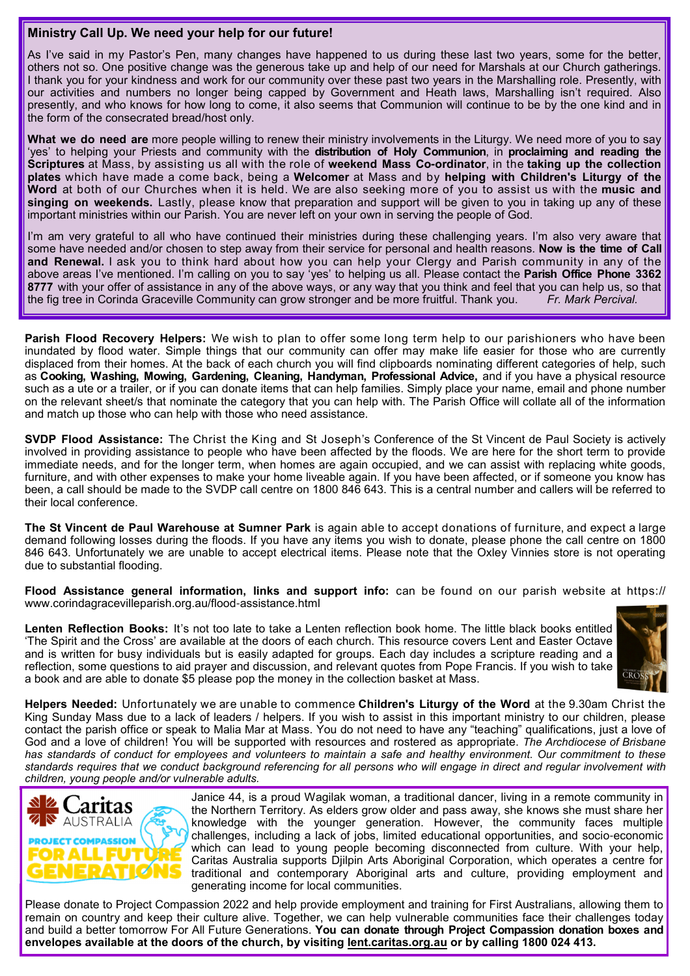# **Ministry Call Up. We need your help for our future!**

As I've said in my Pastor's Pen, many changes have happened to us during these last two years, some for the better, others not so. One positive change was the generous take up and help of our need for Marshals at our Church gatherings. I thank you for your kindness and work for our community over these past two years in the Marshalling role. Presently, with our activities and numbers no longer being capped by Government and Heath laws, Marshalling isn't required. Also presently, and who knows for how long to come, it also seems that Communion will continue to be by the one kind and in the form of the consecrated bread/host only.

**What we do need are** more people willing to renew their ministry involvements in the Liturgy. We need more of you to say 'yes' to helping your Priests and community with the **distribution of Holy Communion**, in **proclaiming and reading the Scriptures** at Mass, by assisting us all with the role of **weekend Mass Co-ordinator**, in the **taking up the collection plates** which have made a come back, being a **Welcomer** at Mass and by **helping with Children's Liturgy of the Word** at both of our Churches when it is held. We are also seeking more of you to assist us with the **music and**  singing on weekends. Lastly, please know that preparation and support will be given to you in taking up any of these important ministries within our Parish. You are never left on your own in serving the people of God.

I'm am very grateful to all who have continued their ministries during these challenging years. I'm also very aware that some have needed and/or chosen to step away from their service for personal and health reasons. **Now is the time of Call and Renewal.** I ask you to think hard about how you can help your Clergy and Parish community in any of the above areas I've mentioned. I'm calling on you to say 'yes' to helping us all. Please contact the **Parish Office Phone 3362 8777** with your offer of assistance in any of the above ways, or any way that you think and feel that you can help us, so that the fig tree in Corinda Graceville Community can grow stronger and be more fruitful. Thank you. *Fr. Mark Percival.*

**Parish Flood Recovery Helpers:** We wish to plan to offer some long term help to our parishioners who have been inundated by flood water. Simple things that our community can offer may make life easier for those who are currently displaced from their homes. At the back of each church you will find clipboards nominating different categories of help, such as **Cooking, Washing, Mowing, Gardening, Cleaning, Handyman, Professional Advice,** and if you have a physical resource such as a ute or a trailer, or if you can donate items that can help families. Simply place your name, email and phone number on the relevant sheet/s that nominate the category that you can help with. The Parish Office will collate all of the information and match up those who can help with those who need assistance.

**SVDP Flood Assistance:** The Christ the King and St Joseph's Conference of the St Vincent de Paul Society is actively involved in providing assistance to people who have been affected by the floods. We are here for the short term to provide immediate needs, and for the longer term, when homes are again occupied, and we can assist with replacing white goods, furniture, and with other expenses to make your home liveable again. If you have been affected, or if someone you know has been, a call should be made to the SVDP call centre on 1800 846 643. This is a central number and callers will be referred to their local conference.

**The St Vincent de Paul Warehouse at Sumner Park** is again able to accept donations of furniture, and expect a large demand following losses during the floods. If you have any items you wish to donate, please phone the call centre on 1800 846 643. Unfortunately we are unable to accept electrical items. Please note that the Oxley Vinnies store is not operating due to substantial flooding.

**Flood Assistance general information, links and support info:** can be found on our parish website at https:// www.corindagracevilleparish.org.au/flood-assistance.html

**Lenten Reflection Books:** It's not too late to take a Lenten reflection book home. The little black books entitled 'The Spirit and the Cross' are available at the doors of each church. This resource covers Lent and Easter Octave and is written for busy individuals but is easily adapted for groups. Each day includes a scripture reading and a reflection, some questions to aid prayer and discussion, and relevant quotes from Pope Francis. If you wish to take a book and are able to donate \$5 please pop the money in the collection basket at Mass.



**Helpers Needed:** Unfortunately we are unable to commence **Children's Liturgy of the Word** at the 9.30am Christ the King Sunday Mass due to a lack of leaders / helpers. If you wish to assist in this important ministry to our children, please contact the parish office or speak to Malia Mar at Mass. You do not need to have any "teaching" qualifications, just a love of God and a love of children! You will be supported with resources and rostered as appropriate. *The Archdiocese of Brisbane has standards of conduct for employees and volunteers to maintain a safe and healthy environment. Our commitment to these standards requires that we conduct background referencing for all persons who will engage in direct and regular involvement with children, young people and/or vulnerable adults.* 



Janice 44, is a proud Wagilak woman, a traditional dancer, living in a remote community in the Northern Territory. As elders grow older and pass away, she knows she must share her knowledge with the younger generation. However, the community faces multiple challenges, including a lack of jobs, limited educational opportunities, and socio-economic which can lead to young people becoming disconnected from culture. With your help, Caritas Australia supports Djilpin Arts Aboriginal Corporation, which operates a centre for traditional and contemporary Aboriginal arts and culture, providing employment and generating income for local communities.

Please donate to Project Compassion 2022 and help provide employment and training for First Australians, allowing them to remain on country and keep their culture alive. Together, we can help vulnerable communities face their challenges today and build a better tomorrow For All Future Generations. **You can donate through Project Compassion donation boxes and envelopes available at the doors of the church, by visiting lent.caritas.org.au or by calling 1800 024 413.**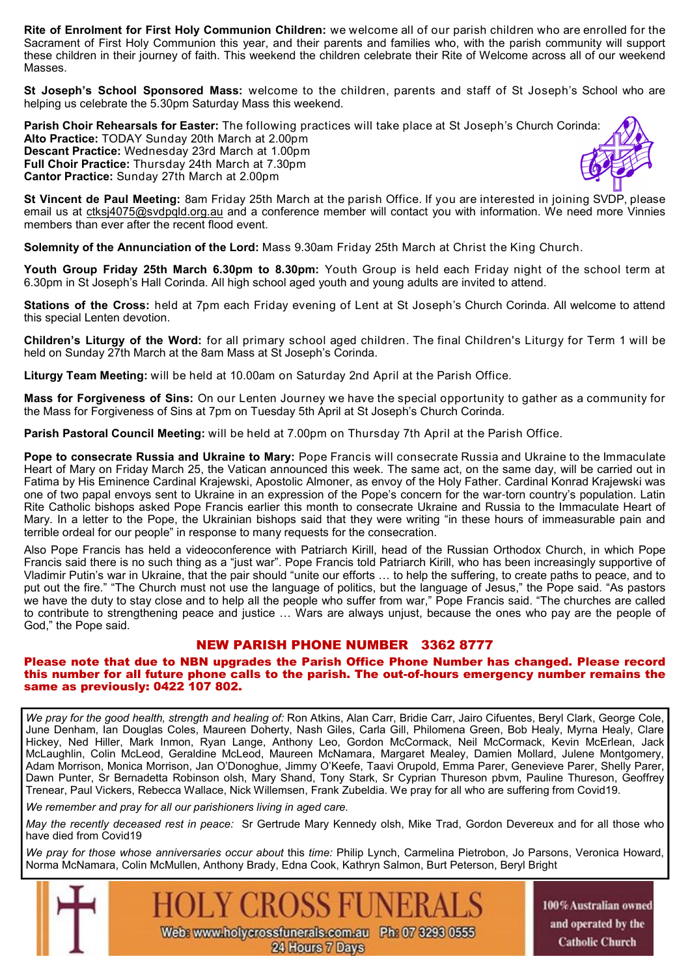**Rite of Enrolment for First Holy Communion Children:** we welcome all of our parish children who are enrolled for the Sacrament of First Holy Communion this year, and their parents and families who, with the parish community will support these children in their journey of faith. This weekend the children celebrate their Rite of Welcome across all of our weekend Masses.

**St Joseph's School Sponsored Mass:** welcome to the children, parents and staff of St Joseph's School who are helping us celebrate the 5.30pm Saturday Mass this weekend.

**Parish Choir Rehearsals for Easter:** The following practices will take place at St Joseph's Church Corinda: **Alto Practice:** TODAY Sunday 20th March at 2.00pm **Descant Practice:** Wednesday 23rd March at 1.00pm **Full Choir Practice:** Thursday 24th March at 7.30pm **Cantor Practice:** Sunday 27th March at 2.00pm

**St Vincent de Paul Meeting:** 8am Friday 25th March at the parish Office. If you are interested in joining SVDP, please email us at ctksj4075@svdpqld.org.au and a conference member will contact you with information. We need more Vinnies members than ever after the recent flood event.

**Solemnity of the Annunciation of the Lord:** Mass 9.30am Friday 25th March at Christ the King Church.

**Youth Group Friday 25th March 6.30pm to 8.30pm:** Youth Group is held each Friday night of the school term at 6.30pm in St Joseph's Hall Corinda. All high school aged youth and young adults are invited to attend.

**Stations of the Cross:** held at 7pm each Friday evening of Lent at St Joseph's Church Corinda. All welcome to attend this special Lenten devotion.

**Children's Liturgy of the Word:** for all primary school aged children. The final Children's Liturgy for Term 1 will be held on Sunday 27th March at the 8am Mass at St Joseph's Corinda.

**Liturgy Team Meeting:** will be held at 10.00am on Saturday 2nd April at the Parish Office.

**Mass for Forgiveness of Sins:** On our Lenten Journey we have the special opportunity to gather as a community for the Mass for Forgiveness of Sins at 7pm on Tuesday 5th April at St Joseph's Church Corinda.

**Parish Pastoral Council Meeting:** will be held at 7.00pm on Thursday 7th April at the Parish Office.

**Pope to consecrate Russia and Ukraine to Mary:** Pope Francis will consecrate Russia and Ukraine to the Immaculate Heart of Mary on Friday March 25, the Vatican announced this week. The same act, on the same day, will be carried out in Fatima by His Eminence Cardinal Krajewski, Apostolic Almoner, as envoy of the Holy Father. Cardinal Konrad Krajewski was one of two papal envoys sent to Ukraine in an expression of the Pope's concern for the war-torn country's population. Latin Rite Catholic bishops asked Pope Francis earlier this month to consecrate Ukraine and Russia to the Immaculate Heart of Mary. In a letter to the Pope, the Ukrainian bishops said that they were writing "in these hours of immeasurable pain and terrible ordeal for our people" in response to many requests for the consecration.

Also Pope Francis has held a videoconference with Patriarch Kirill, head of the Russian Orthodox Church, in which Pope Francis said there is no such thing as a "just war". Pope Francis told Patriarch Kirill, who has been increasingly supportive of Vladimir Putin's war in Ukraine, that the pair should "unite our efforts … to help the suffering, to create paths to peace, and to put out the fire." "The Church must not use the language of politics, but the language of Jesus," the Pope said. "As pastors we have the duty to stay close and to help all the people who suffer from war," Pope Francis said. "The churches are called to contribute to strengthening peace and justice … Wars are always unjust, because the ones who pay are the people of God," the Pope said.

# NEW PARISH PHONE NUMBER 3362 8777

#### Please note that due to NBN upgrades the Parish Office Phone Number has changed. Please record this number for all future phone calls to the parish. The out-of-hours emergency number remains the same as previously: 0422 107 802.

*We pray for the good health, strength and healing of:* Ron Atkins, Alan Carr, Bridie Carr, Jairo Cifuentes, Beryl Clark, George Cole, June Denham, Ian Douglas Coles, Maureen Doherty, Nash Giles, Carla Gill, Philomena Green, Bob Healy, Myrna Healy, Clare Hickey, Ned Hiller, Mark Inmon, Ryan Lange, Anthony Leo, Gordon McCormack, Neil McCormack, Kevin McErlean, Jack McLaughlin, Colin McLeod, Geraldine McLeod, Maureen McNamara, Margaret Mealey, Damien Mollard, Julene Montgomery, Adam Morrison, Monica Morrison, Jan O'Donoghue, Jimmy O'Keefe, Taavi Orupold, Emma Parer, Genevieve Parer, Shelly Parer, Dawn Punter, Sr Bernadetta Robinson olsh, Mary Shand, Tony Stark, Sr Cyprian Thureson pbvm, Pauline Thureson, Geoffrey Trenear, Paul Vickers, Rebecca Wallace, Nick Willemsen, Frank Zubeldia. We pray for all who are suffering from Covid19.

*We remember and pray for all our parishioners living in aged care.* 

*May the recently deceased rest in peace:* Sr Gertrude Mary Kennedy olsh, Mike Trad, Gordon Devereux and for all those who have died from Covid19

*We pray for those whose anniversaries occur about* this *time:* Philip Lynch, Carmelina Pietrobon, Jo Parsons, Veronica Howard, Norma McNamara, Colin McMullen, Anthony Brady, Edna Cook, Kathryn Salmon, Burt Peterson, Beryl Bright



100% Australian owned and operated by the **Catholic Church**